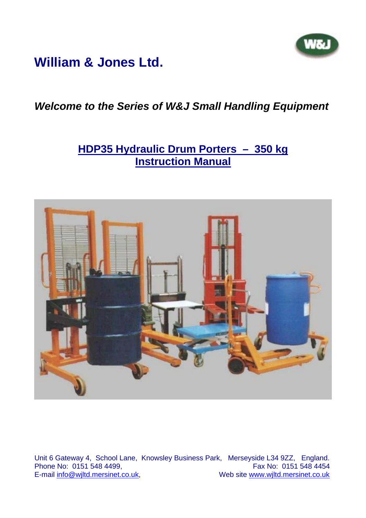

## **William & Jones Ltd.**

## *Welcome to the Series of W&J Small Handling Equipment*

### **HDP35 Hydraulic Drum Porters – 350 kg Instruction Manual**



Unit 6 Gateway 4, School Lane, Knowsley Business Park, Merseyside L34 9ZZ, England. Phone No:  $0151$  548 4499,<br>E-mail info@wiltd.mersinet.co.uk, Web site www.wjltd.mersinet.co.uk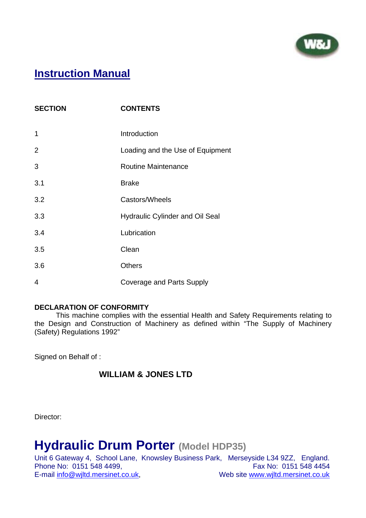

## **Instruction Manual**

| <b>SECTION</b> | <b>CONTENTS</b>                  |
|----------------|----------------------------------|
| 1              | Introduction                     |
| $\overline{2}$ | Loading and the Use of Equipment |
| 3              | <b>Routine Maintenance</b>       |
| 3.1            | <b>Brake</b>                     |
| 3.2            | Castors/Wheels                   |
| 3.3            | Hydraulic Cylinder and Oil Seal  |
| 3.4            | Lubrication                      |
| 3.5            | Clean                            |
| 3.6            | <b>Others</b>                    |
| 4              | <b>Coverage and Parts Supply</b> |

#### **DECLARATION OF CONFORMITY**

 This machine complies with the essential Health and Safety Requirements relating to the Design and Construction of Machinery as defined within "The Supply of Machinery (Safety) Regulations 1992"

Signed on Behalf of :

#### **WILLIAM & JONES LTD**

Director:

# **Hydraulic Drum Porter (Model HDP35)**

Unit 6 Gateway 4, School Lane, Knowsley Business Park, Merseyside L34 9ZZ, England. Phone No: 0151 548 4499,<br>
E-mail info@wiltd.mersinet.co.uk, Web site www.wiltd.mersinet.co.uk Web site www.wjltd.mersinet.co.uk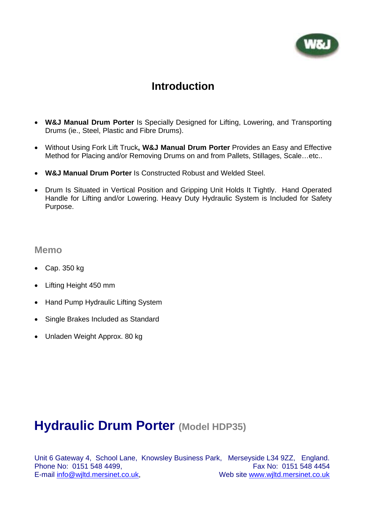

### **Introduction**

- **W&J Manual Drum Porter** Is Specially Designed for Lifting, Lowering, and Transporting Drums (ie., Steel, Plastic and Fibre Drums).
- Without Using Fork Lift Truck**, W&J Manual Drum Porter** Provides an Easy and Effective Method for Placing and/or Removing Drums on and from Pallets, Stillages, Scale…etc..
- **W&J Manual Drum Porter** Is Constructed Robust and Welded Steel.
- Drum Is Situated in Vertical Position and Gripping Unit Holds It Tightly. Hand Operated Handle for Lifting and/or Lowering. Heavy Duty Hydraulic System is Included for Safety Purpose.

#### **Memo**

- Cap. 350 kg
- Lifting Height 450 mm
- Hand Pump Hydraulic Lifting System
- Single Brakes Included as Standard
- Unladen Weight Approx. 80 kg

## **Hydraulic Drum Porter (Model HDP35)**

Unit 6 Gateway 4, School Lane, Knowsley Business Park, Merseyside L34 9ZZ, England. Phone No: 0151 548 4499. Fax No: 0151 548 4454 E-mail info@wjltd.mersinet.co.uk, Web site www.wjltd.mersinet.co.uk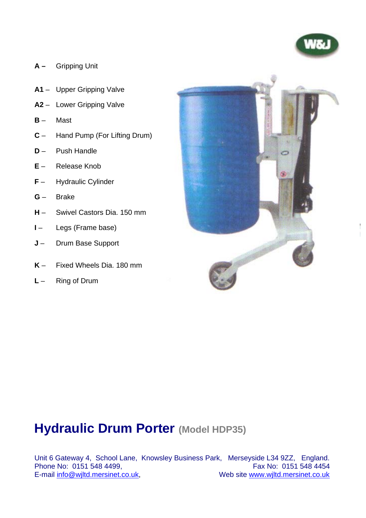

- **A** Gripping Unit
- **A1** Upper Gripping Valve
- **A2** Lower Gripping Valve
- **B** Mast
- **C** Hand Pump (For Lifting Drum)
- **D**  Push Handle
- **E** Release Knob
- **F** Hydraulic Cylinder
- **G** Brake
- **H** Swivel Castors Dia. 150 mm
- **I** Legs (Frame base)
- **J** Drum Base Support
- **K** Fixed Wheels Dia. 180 mm
- **L** Ring of Drum



## **Hydraulic Drum Porter (Model HDP35)**

Unit 6 Gateway 4, School Lane, Knowsley Business Park, Merseyside L34 9ZZ, England. Phone No: 0151 548 4499,<br>E-mail info@wiltd.mersinet.co.uk, Web site www.wjltd.mersinet.co.uk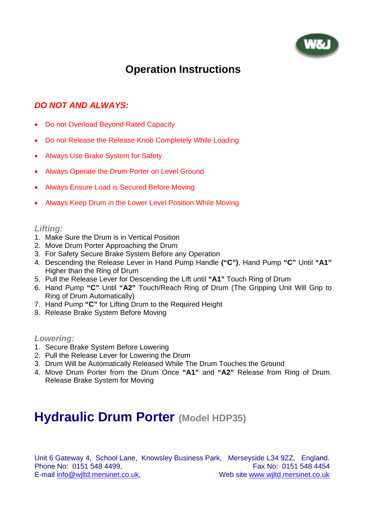

## **Operation Instructions**

#### *DO NOT AND ALWAYS:*

- Do not Overload Beyond Rated Capacity
- Do not Release the Release Knob Completely While Loading
- Always Use Brake System for Safety
- Always Operate the Drum Porter on Level Ground
- Always Ensure Load is Secured Before Moving
- Always Keep Drum in the Lower Level Position While Moving

#### *Lifting:*

- 1. Make Sure the Drum is in Vertical Position
- 2. Move Drum Porter Approaching the Drum
- 3. For Safety Secure Brake System Before any Operation
- 4. Descending the Release Lever in Hand Pump Handle **("C")**, Hand Pump **"C"** Until **"A1"** Higher than the Ring of Drum
- 5. Pull the Release Lever for Descending the Lift until **"A1"** Touch Ring of Drum
- 6. Hand Pump **"C"** Until **"A2"** Touch/Reach Ring of Drum (The Gripping Unit Will Grip to Ring of Drum Automatically)
- 7. Hand Pump **"C"** for Lifting Drum to the Required Height
- 8. Release Brake System Before Moving

*Lowering:* 

- 1. Secure Brake System Before Lowering
- 2. Pull the Release Lever for Lowering the Drum
- 3. Drum Will be Automatically Released While The Drum Touches the Ground
- 4. Move Drum Porter from the Drum Once **"A1"** and **"A2"** Release from Ring of Drum. Release Brake System for Moving

## **Hydraulic Drum Porter (Model HDP35)**

Unit 6 Gateway 4, School Lane, Knowsley Business Park, Merseyside L34 9ZZ, England. Phone No: 0151 548 4499. Fax No: 0151 548 4454 E-mail info@wiltd.mersinet.co.uk, Web site www.wiltd.mersinet.co.uk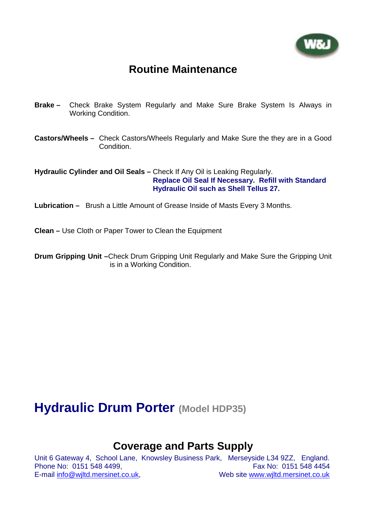

### **Routine Maintenance**

- **Brake –** Check Brake System Regularly and Make Sure Brake System Is Always in Working Condition.
- **Castors/Wheels** Check Castors/Wheels Regularly and Make Sure the they are in a Good Condition.

**Hydraulic Cylinder and Oil Seals –** Check If Any Oil is Leaking Regularly. **Replace Oil Seal If Necessary. Refill with Standard Hydraulic Oil such as Shell Tellus 27.** 

**Lubrication –** Brush a Little Amount of Grease Inside of Masts Every 3 Months.

**Clean –** Use Cloth or Paper Tower to Clean the Equipment

**Drum Gripping Unit –**Check Drum Gripping Unit Regularly and Make Sure the Gripping Unit is in a Working Condition.

## **Hydraulic Drum Porter (Model HDP35)**

### **Coverage and Parts Supply**

Unit 6 Gateway 4, School Lane, Knowsley Business Park, Merseyside L34 9ZZ, England. Phone No: 0151 548 4499. Fax No: 0151 548 4454 E-mail info@wjltd.mersinet.co.uk, Web site www.wjltd.mersinet.co.uk